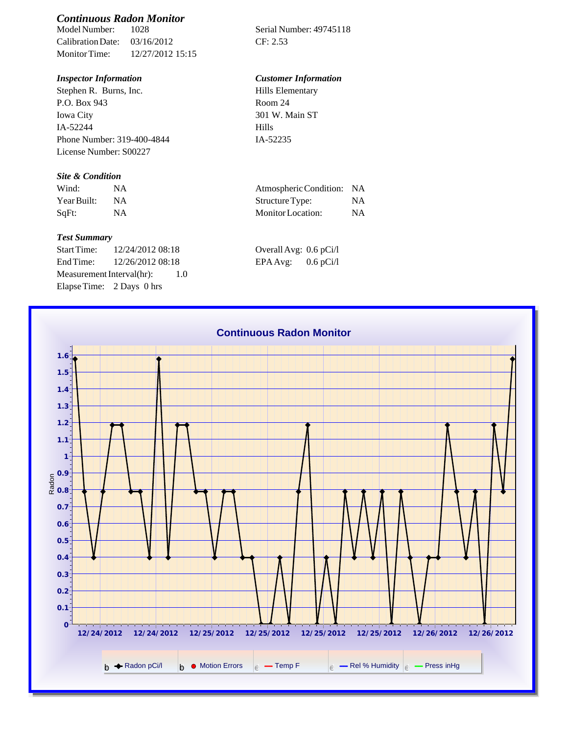# *Continuous Radon Monitor*

Calibration Date: 03/16/2012 CF: 2.53 Monitor Time: 12/27/2012 15:15

Stephen R. Burns, Inc. P.O. Box 943 Iowa City IA-52244 Phone Number: 319-400-4844 License Number: S00227

#### *Site & Condition*

| Wind:       | <b>NA</b> |
|-------------|-----------|
| Year Built: | N A       |
| SqFt:       | NA        |

#### *Test Summary*

Start Time: 12/24/2012 08:18 End Time:  $12/26/201208:18$ Measurement Interval(hr): 1.0 Elapse Time: 2 Days 0 hrs

Serial Number: 49745118

### *Inspector Information Customer Information*

| Hills Elementary |  |
|------------------|--|
| Room 24          |  |
| 301 W. Main ST   |  |
| Hills            |  |
| IA-52235         |  |

| Wind:       |    | Atmospheric Condition: NA |    |
|-------------|----|---------------------------|----|
| Year Built: |    | Structure Type:           | NA |
| SqFt:       | NA | Monitor Location:         | NΑ |

| Overall Avg: 0.6 pCi/l |             |
|------------------------|-------------|
| EPA Avg:               | $0.6$ pCi/l |

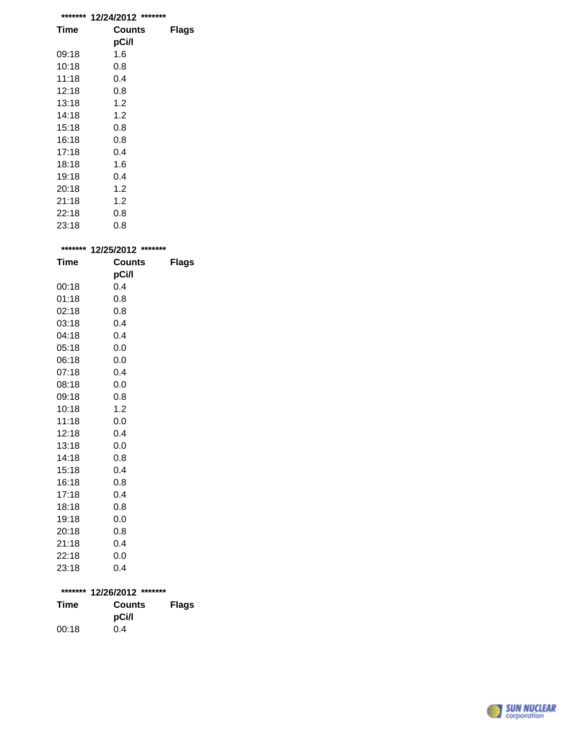|             | ******* 12/24/2012 ******* |              |
|-------------|----------------------------|--------------|
| Time        | <b>Counts</b>              | <b>Flags</b> |
|             | pCi/l                      |              |
| 09:18       | 1.6                        |              |
| 10:18       | 0.8                        |              |
| 11:18       | 0.4                        |              |
| 12:18       | 0.8                        |              |
| 13:18       | 1.2                        |              |
| 14:18       | 1.2                        |              |
| 15:18       | 0.8                        |              |
| 16:18       | 0.8                        |              |
| 17:18       | 0.4                        |              |
| 18:18       | 1.6                        |              |
| 19:18       | 0.4                        |              |
| 20:18       | 1.2                        |              |
| 21:18       | 1.2                        |              |
| 22:18       | 0.8                        |              |
| 23:18       | 0.8                        |              |
|             |                            |              |
|             | ******* 12/25/2012 ******* |              |
| <b>Time</b> | Counts                     | <b>Flags</b> |
|             | pCi/l                      |              |
| 00:18       | 0.4                        |              |
| 01:18       | 0.8                        |              |
| 02:18       | 0.8                        |              |
| ∩3∙18       | ሰ 4                        |              |

|       | pCi/l |
|-------|-------|
| 00:18 | 0.4   |
| 01:18 | 0.8   |
| 02:18 | 0.8   |
| 03:18 | 0.4   |
| 04:18 | 0.4   |
| 05:18 | 0.0   |
| 06:18 | 0.0   |
| 07:18 | 0.4   |
| 08:18 | 0.0   |
| 09:18 | 0.8   |
| 10:18 | 1.2   |
| 11:18 | 0.0   |
| 12:18 | 0.4   |
| 13:18 | 0.0   |
| 14:18 | 0.8   |
| 15:18 | 0.4   |
| 16:18 | 0.8   |
| 17:18 | 0.4   |
| 18:18 | 0.8   |
| 19:18 | 0.0   |
| 20:18 | 0.8   |
| 21:18 | 0.4   |
| 22:18 | 0.0   |
| 23:18 | 0.4   |
|       |       |

## **\*\*\*\*\*\*\* 12/26/2012 \*\*\*\*\*\*\***

| Time  | <b>Counts</b> | <b>Flags</b> |
|-------|---------------|--------------|
|       | pCi/l         |              |
| 00:18 | 0.4           |              |